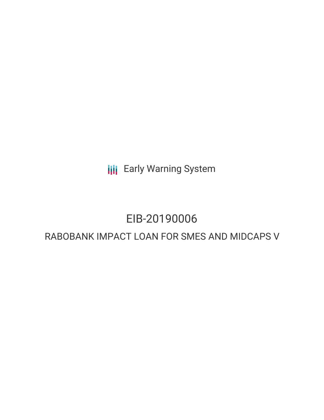**III** Early Warning System

# EIB-20190006

# RABOBANK IMPACT LOAN FOR SMES AND MIDCAPS V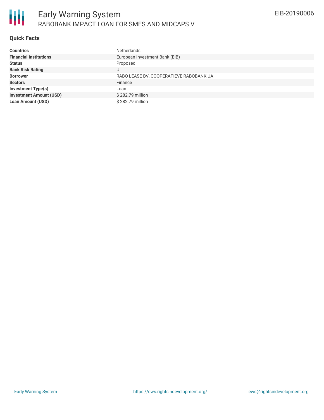

### **Quick Facts**

| <b>Countries</b>               | <b>Netherlands</b>                      |
|--------------------------------|-----------------------------------------|
| <b>Financial Institutions</b>  | European Investment Bank (EIB)          |
| <b>Status</b>                  | Proposed                                |
| <b>Bank Risk Rating</b>        | U                                       |
| <b>Borrower</b>                | RABO LEASE BV, COOPERATIEVE RABOBANK UA |
| <b>Sectors</b>                 | Finance                                 |
| <b>Investment Type(s)</b>      | Loan                                    |
| <b>Investment Amount (USD)</b> | \$282.79 million                        |
| <b>Loan Amount (USD)</b>       | \$282.79 million                        |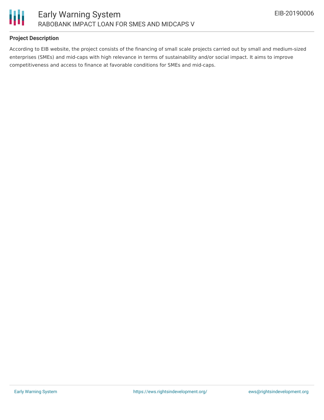

## **Project Description**

According to EIB website, the project consists of the financing of small scale projects carried out by small and medium-sized enterprises (SMEs) and mid-caps with high relevance in terms of sustainability and/or social impact. It aims to improve competitiveness and access to finance at favorable conditions for SMEs and mid-caps.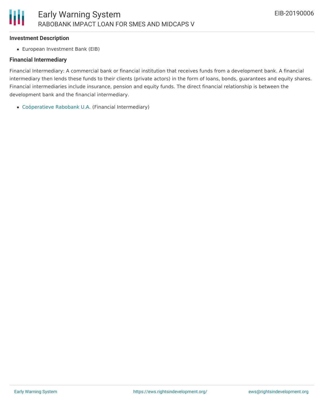#### **Investment Description**

European Investment Bank (EIB)

#### **Financial Intermediary**

Financial Intermediary: A commercial bank or financial institution that receives funds from a development bank. A financial intermediary then lends these funds to their clients (private actors) in the form of loans, bonds, guarantees and equity shares. Financial intermediaries include insurance, pension and equity funds. The direct financial relationship is between the development bank and the financial intermediary.

[Coöperatieve](file:///actor/494/) Rabobank U.A. (Financial Intermediary)